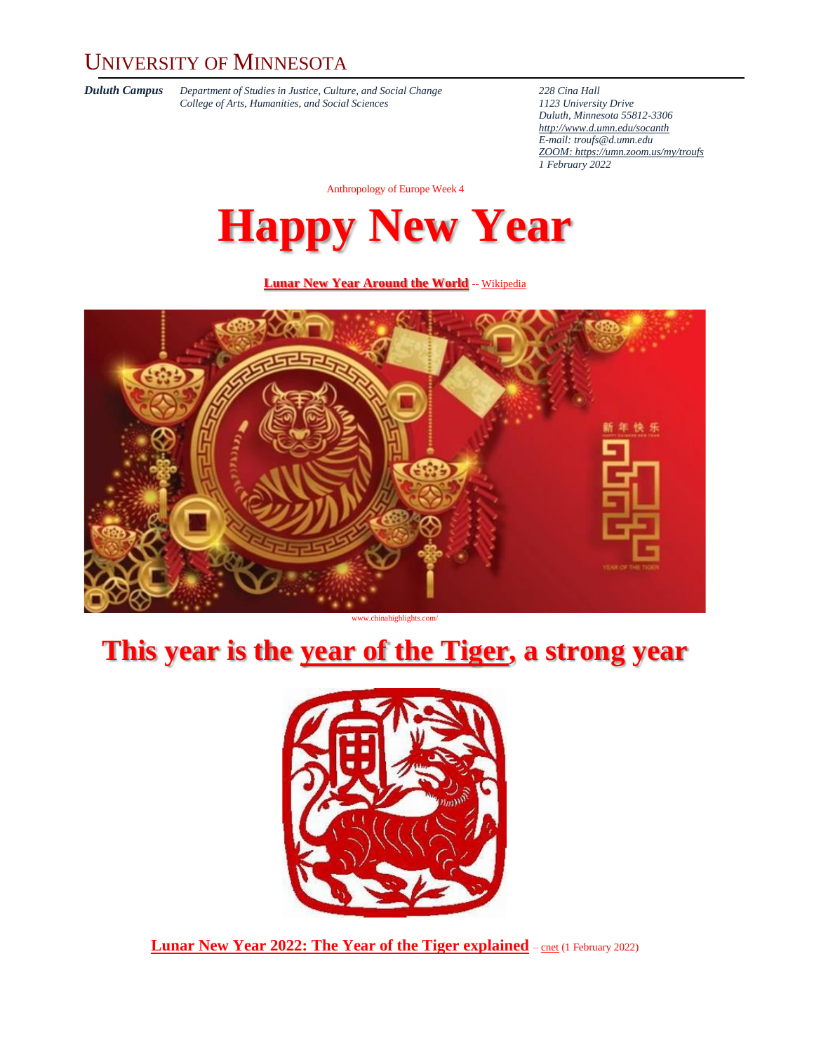### UNIVERSITY OF MINNESOTA

*Duluth Campus Department of Studies in Justice, Culture, and Social Change* **228** *Cina Hall College of Arts, Humanities, and Social Sciences 2123 University Drive College of Arts, Humanities, and Social Sciences 1123 University Drive*

*Duluth, Minnesota 55812-3306 <http://www.d.umn.edu/socanth> E-mail: [troufs@d.umn.edu](mailto:troufs@d.umn.edu) ZOOM[: https://umn.zoom.us/my/troufs](https://umn.zoom.us/my/troufs) 1 February 2022*

Anthropology of Europe Week 4

**Happy New Year**

#### **[Lunar New Year Around the World](https://en.wikipedia.org/wiki/Lunar_New_Year)** -- [Wikipedia](https://en.wikipedia.org/wiki/Main_Page)



www.chinahighlights.com/

## **This year is the [year of the Tiger,](https://en.wikipedia.org/wiki/Tiger_(zodiac)) a strong year**



**Lunar New Year 2022: The Year of the Tiger [explained](https://www.cnet.com/how-to/lunar-new-year-2022-year-of-the-tiger-explained/)** – [cnet](https://www.cnet.com/how-to/lunar-new-year-2022-year-of-the-tiger-explained/) (1 February 2022)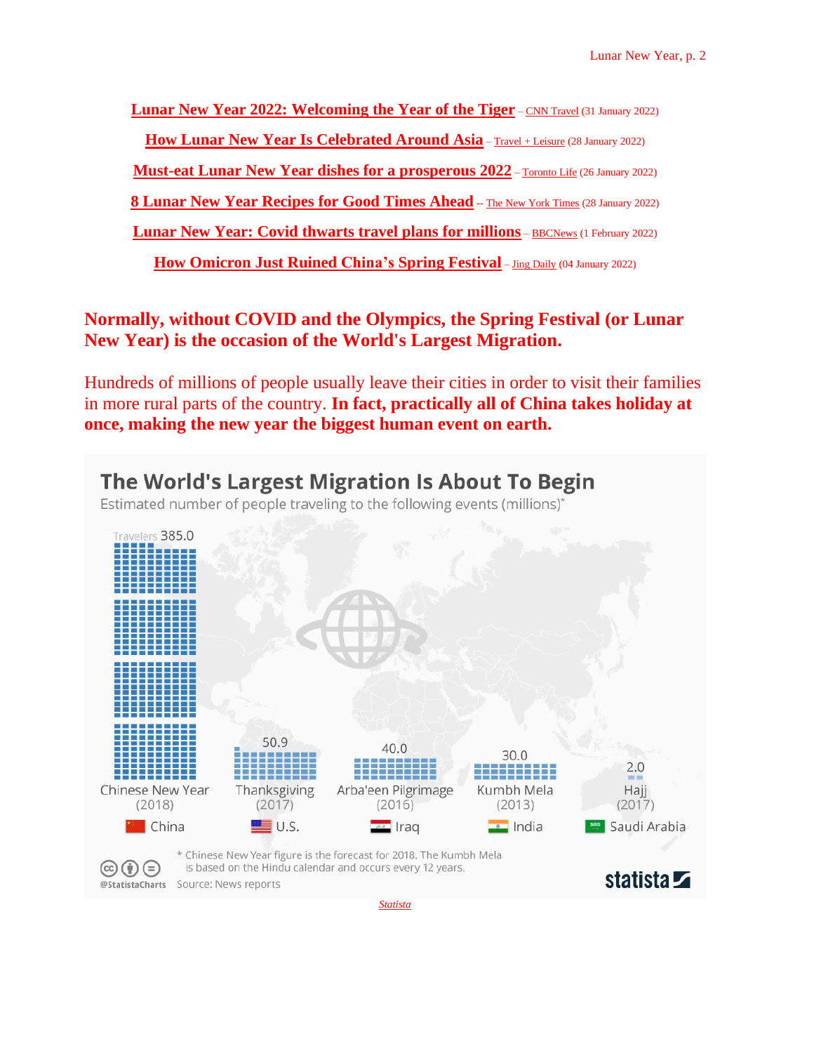**Lunar New Year 2022: [Welcoming](https://www.cnn.com/travel/article/lunar-new-year-2022-cmd/index.html) the Year of the Tiger** – CNN [Travel](https://www.cnn.com/travel/article/lunar-new-year-2022-cmd/index.html) (31 January 2022)

**How Lunar New Year Is [Celebrated](https://www.travelandleisure.com/holiday-travel/lunar-new-year-celebrations) Around Asia** – Travel <sup>+</sup> [Leisure](https://www.travelandleisure.com/holiday-travel/lunar-new-year-celebrations) (28 January 2022)

**Must-eat Lunar New Year dishes for a [prosperous](https://torontolife.com/food/must-eat-lunar-new-year-dishes-for-a-prosperous-2022/) 2022** – [Toronto](https://torontolife.com/food/must-eat-lunar-new-year-dishes-for-a-prosperous-2022/) Life (26 January 2022)

**8 Lunar New Year [Recipes](https://www.nytimes.com/2022/01/27/dining/lunar-new-year-foods-recipes.html) for Good Times Ahead** -- The New York [Times](https://www.nytimes.com/2022/01/27/dining/lunar-new-year-foods-recipes.html) (28 January 2022)

**Lunar New Year: Covid thwarts travel plans for [millions](https://www.bbc.com/news/world-asia-60210863)** – [BBCNews](https://www.bbc.com/news/world-asia-60210863) (1 February 2022)

**How [Omicron](https://jingdaily.com/omicron-spring-festival-2022/) Just Ruined China's Spring Festival** – Jing [Daily](https://jingdaily.com/omicron-spring-festival-2022/) (04 January 2022)

**Normally, without COVID and the Olympics, the Spring Festival (or Lunar New Year) is the occasion of the World's Largest Migration.**

Hundreds of millions of people usually leave their cities in order to visit their families in more rural parts of the country. **In fact, practically all of China takes holiday at once, making the new year the biggest human event on earth.**